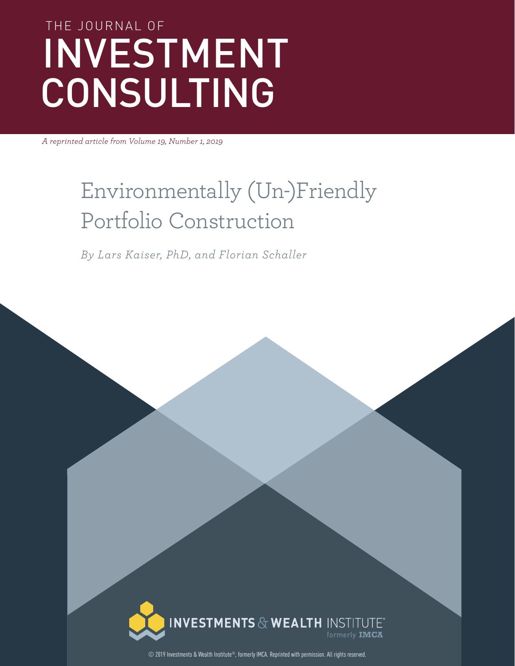# THE JOURNAL OF INVESTMENT CONSULTING

*A reprinted article from Volume 19, Number 1, 2019*

## Environmentally (Un-)Friendly Portfolio Construction

*By Lars Kaiser, PhD, and Florian Schaller*



© 2019 Investments & Wealth Institute®, formerly IMCA. Reprinted with permission. All rights reserved.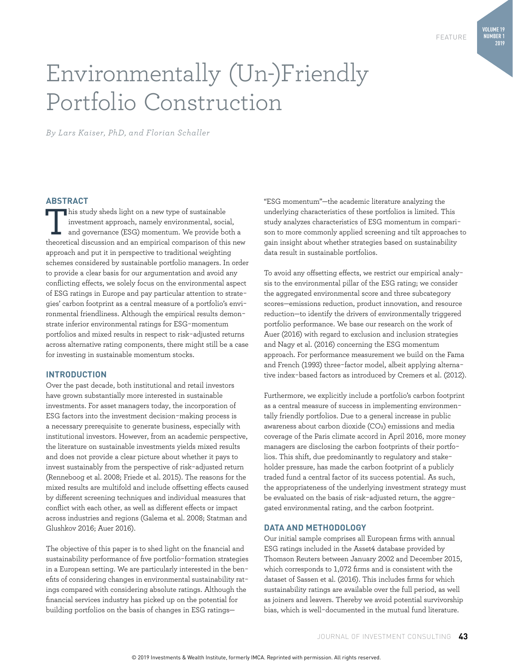## Environmentally (Un-)Friendly Portfolio Construction

*By Lars Kaiser, PhD, and Florian Schaller*

#### **ABSTRACT**

This study sheds light on a new type of sustainable<br>
investment approach, namely environmental, social,<br>
and governance (ESG) momentum. We provide both a<br>
theoretical discussion and an empirical comparison of this pay investment approach, namely environmental, social, theoretical discussion and an empirical comparison of this new approach and put it in perspective to traditional weighting schemes considered by sustainable portfolio managers. In order to provide a clear basis for our argumentation and avoid any conflicting effects, we solely focus on the environmental aspect of ESG ratings in Europe and pay particular attention to strategies' carbon footprint as a central measure of a portfolio's environmental friendliness. Although the empirical results demonstrate inferior environmental ratings for ESG-momentum portfolios and mixed results in respect to risk-adjusted returns across alternative rating components, there might still be a case for investing in sustainable momentum stocks.

#### **INTRODUCTION**

Over the past decade, both institutional and retail investors have grown substantially more interested in sustainable investments. For asset managers today, the incorporation of ESG factors into the investment decision-making process is a necessary prerequisite to generate business, especially with institutional investors. However, from an academic perspective, the literature on sustainable investments yields mixed results and does not provide a clear picture about whether it pays to invest sustainably from the perspective of risk-adjusted return (Renneboog et al. 2008; Friede et al. 2015). The reasons for the mixed results are multifold and include offsetting effects caused by different screening techniques and individual measures that conflict with each other, as well as different effects or impact across industries and regions (Galema et al. 2008; Statman and Glushkov 2016; Auer 2016).

The objective of this paper is to shed light on the financial and sustainability performance of five portfolio-formation strategies in a European setting. We are particularly interested in the benefits of considering changes in environmental sustainability ratings compared with considering absolute ratings. Although the financial services industry has picked up on the potential for building portfolios on the basis of changes in ESG ratings"ESG momentum"—the academic literature analyzing the underlying characteristics of these portfolios is limited. This study analyzes characteristics of ESG momentum in comparison to more commonly applied screening and tilt approaches to gain insight about whether strategies based on sustainability data result in sustainable portfolios.

To avoid any offsetting effects, we restrict our empirical analysis to the environmental pillar of the ESG rating; we consider the aggregated environmental score and three subcategory scores—emissions reduction, product innovation, and resource reduction—to identify the drivers of environmentally triggered portfolio performance. We base our research on the work of Auer (2016) with regard to exclusion and inclusion strategies and Nagy et al. (2016) concerning the ESG momentum approach. For performance measurement we build on the Fama and French (1993) three-factor model, albeit applying alternative index-based factors as introduced by Cremers et al. (2012).

Furthermore, we explicitly include a portfolio's carbon footprint as a central measure of success in implementing environmentally friendly portfolios. Due to a general increase in public awareness about carbon dioxide (CO2) emissions and media coverage of the Paris climate accord in April 2016, more money managers are disclosing the carbon footprints of their portfolios. This shift, due predominantly to regulatory and stakeholder pressure, has made the carbon footprint of a publicly traded fund a central factor of its success potential. As such, the appropriateness of the underlying investment strategy must be evaluated on the basis of risk-adjusted return, the aggregated environmental rating, and the carbon footprint.

#### **DATA AND METHODOLOGY**

Our initial sample comprises all European firms with annual ESG ratings included in the Asset4 database provided by Thomson Reuters between January 2002 and December 2015, which corresponds to 1,072 firms and is consistent with the dataset of Sassen et al. (2016). This includes firms for which sustainability ratings are available over the full period, as well as joiners and leavers. Thereby we avoid potential survivorship bias, which is well-documented in the mutual fund literature.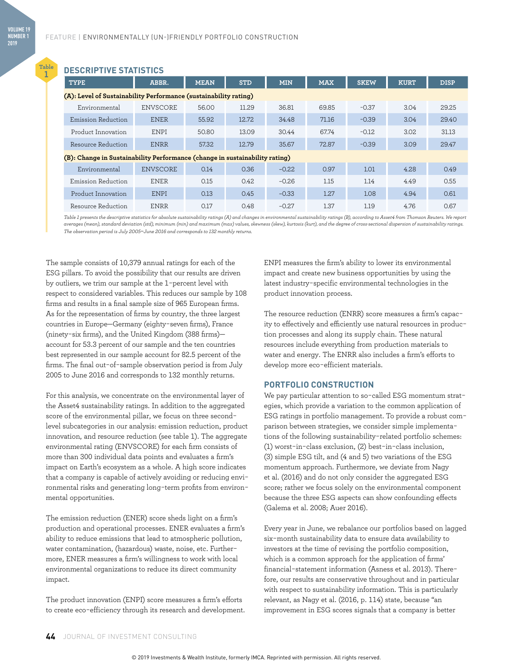**Table 1**

#### **DESCRIPTIVE STATISTICS**

| <b>TYPE</b>                                                                 | ABBR.           | <b>STD</b><br><b>MEAN</b><br><b>MIN</b><br><b>MAX</b> |       | <b>SKEW</b> | <b>KURT</b> | <b>DISP</b> |      |       |  |  |  |
|-----------------------------------------------------------------------------|-----------------|-------------------------------------------------------|-------|-------------|-------------|-------------|------|-------|--|--|--|
| (A): Level of Sustainability Performance (sustainability rating)            |                 |                                                       |       |             |             |             |      |       |  |  |  |
| Environmental                                                               | <b>ENVSCORE</b> | 56.00                                                 | 11.29 | 36.81       | 69.85       | $-0.37$     | 3.04 | 29.25 |  |  |  |
| Emission Reduction                                                          | <b>ENER</b>     | 55.92                                                 | 12.72 | 34.48       | 71.16       | $-0.39$     | 3.04 | 29.40 |  |  |  |
| Product Innovation                                                          | ENPI            | 50.80                                                 | 13.09 | 30.44       | 67.74       | $-0.12$     | 3.02 | 31.13 |  |  |  |
| Resource Reduction                                                          | <b>ENRR</b>     |                                                       | 12.79 | 35.67       | 72.87       | $-0.39$     | 3.09 | 29.47 |  |  |  |
| (B): Change in Sustainability Performance (change in sustainability rating) |                 |                                                       |       |             |             |             |      |       |  |  |  |
| Environmental                                                               | ENVSCORE        | 0.14                                                  | 0.36  | $-0.22$     | 0.97        | 1.01        | 4.28 | 0.49  |  |  |  |
| Emission Reduction                                                          | <b>ENER</b>     | 0.15                                                  | 0.42  | $-0.26$     | 1.15        | 1.14        | 4.49 | 0.55  |  |  |  |
| Product Innovation                                                          | <b>ENPI</b>     | 0.13                                                  | 0.45  | $-0.33$     | 1.27        | 1.08        | 4.94 | 0.61  |  |  |  |
| Resource Reduction                                                          | <b>ENRR</b>     | 0.17                                                  | 0.48  | $-0.27$     | 1.37        | 1.19        | 4.76 | 0.67  |  |  |  |

*Table 1 presents the descriptive statistics for absolute sustainability ratings (A) and changes in environmental sustainability ratings (B), according to Asset4 from Thomson Reuters. We report averages (mean), standard deviation (std), minimum (min) and maximum (max) values, skewness (skew), kurtosis (kurt), and the degree of cross-sectional dispersion of sustainability ratings. The observation period is July 2005*–*June 2016 and corresponds to 132 monthly returns.*

The sample consists of 10,379 annual ratings for each of the ESG pillars. To avoid the possibility that our results are driven by outliers, we trim our sample at the 1-percent level with respect to considered variables. This reduces our sample by 108 firms and results in a final sample size of 965 European firms. As for the representation of firms by country, the three largest countries in Europe—Germany (eighty-seven firms), France (ninety-six firms), and the United Kingdom (388 firms) account for 53.3 percent of our sample and the ten countries best represented in our sample account for 82.5 percent of the firms. The final out-of-sample observation period is from July 2005 to June 2016 and corresponds to 132 monthly returns.

For this analysis, we concentrate on the environmental layer of the Asset4 sustainability ratings. In addition to the aggregated score of the environmental pillar, we focus on three secondlevel subcategories in our analysis: emission reduction, product innovation, and resource reduction (see table 1). The aggregate environmental rating (ENVSCORE) for each firm consists of more than 300 individual data points and evaluates a firm's impact on Earth's ecosystem as a whole. A high score indicates that a company is capable of actively avoiding or reducing environmental risks and generating long-term profits from environmental opportunities.

The emission reduction (ENER) score sheds light on a firm's production and operational processes. ENER evaluates a firm's ability to reduce emissions that lead to atmospheric pollution, water contamination, (hazardous) waste, noise, etc. Furthermore, ENER measures a firm's willingness to work with local environmental organizations to reduce its direct community impact.

The product innovation (ENPI) score measures a firm's efforts to create eco-efficiency through its research and development. ENPI measures the firm's ability to lower its environmental impact and create new business opportunities by using the latest industry-specific environmental technologies in the product innovation process.

The resource reduction (ENRR) score measures a firm's capacity to effectively and efficiently use natural resources in production processes and along its supply chain. These natural resources include everything from production materials to water and energy. The ENRR also includes a firm's efforts to develop more eco-efficient materials.

#### **PORTFOLIO CONSTRUCTION**

We pay particular attention to so-called ESG momentum strategies, which provide a variation to the common application of ESG ratings in portfolio management. To provide a robust comparison between strategies, we consider simple implementations of the following sustainability-related portfolio schemes: (1) worst-in-class exclusion, (2) best-in-class inclusion, (3) simple ESG tilt, and (4 and 5) two variations of the ESG momentum approach. Furthermore, we deviate from Nagy et al. (2016) and do not only consider the aggregated ESG score; rather we focus solely on the environmental component because the three ESG aspects can show confounding effects (Galema et al. 2008; Auer 2016).

Every year in June, we rebalance our portfolios based on lagged six-month sustainability data to ensure data availability to investors at the time of revising the portfolio composition, which is a common approach for the application of firms' financial-statement information (Asness et al. 2013). Therefore, our results are conservative throughout and in particular with respect to sustainability information. This is particularly relevant, as Nagy et al. (2016, p. 114) state, because "an improvement in ESG scores signals that a company is better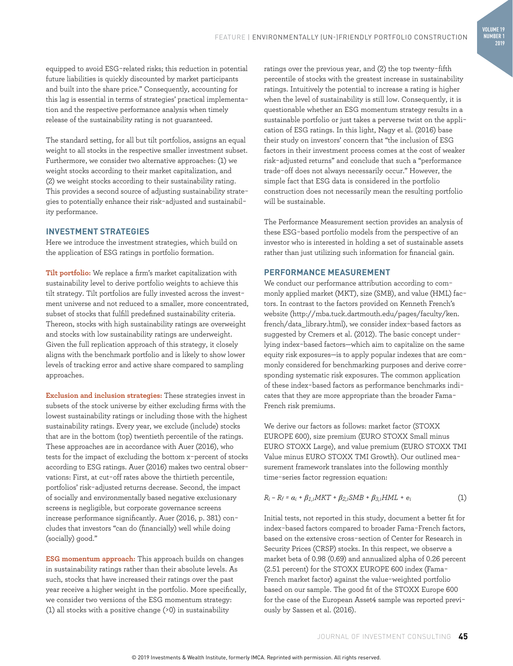**VOLUME 19 NUMBER 1 2019**

equipped to avoid ESG-related risks; this reduction in potential future liabilities is quickly discounted by market participants and built into the share price." Consequently, accounting for this lag is essential in terms of strategies' practical implementation and the respective performance analysis when timely release of the sustainability rating is not guaranteed.

The standard setting, for all but tilt portfolios, assigns an equal weight to all stocks in the respective smaller investment subset. Furthermore, we consider two alternative approaches: (1) we weight stocks according to their market capitalization, and (2) we weight stocks according to their sustainability rating. This provides a second source of adjusting sustainability strategies to potentially enhance their risk-adjusted and sustainability performance.

#### **INVESTMENT STRATEGIES**

Here we introduce the investment strategies, which build on the application of ESG ratings in portfolio formation.

**Tilt portfolio:** We replace a firm's market capitalization with sustainability level to derive portfolio weights to achieve this tilt strategy. Tilt portfolios are fully invested across the investment universe and not reduced to a smaller, more concentrated, subset of stocks that fulfill predefined sustainability criteria. Thereon, stocks with high sustainability ratings are overweight and stocks with low sustainability ratings are underweight. Given the full replication approach of this strategy, it closely aligns with the benchmark portfolio and is likely to show lower levels of tracking error and active share compared to sampling approaches.

**Exclusion and inclusion strategies:** These strategies invest in subsets of the stock universe by either excluding firms with the lowest sustainability ratings or including those with the highest sustainability ratings. Every year, we exclude (include) stocks that are in the bottom (top) twentieth percentile of the ratings. These approaches are in accordance with Auer (2016), who tests for the impact of excluding the bottom x-percent of stocks according to ESG ratings. Auer (2016) makes two central observations: First, at cut-off rates above the thirtieth percentile, portfolios' risk-adjusted returns decrease. Second, the impact of socially and environmentally based negative exclusionary screens is negligible, but corporate governance screens increase performance significantly. Auer (2016, p. 381) concludes that investors "can do (financially) well while doing (socially) good."

**ESG momentum approach:** This approach builds on changes in sustainability ratings rather than their absolute levels. As such, stocks that have increased their ratings over the past year receive a higher weight in the portfolio. More specifically, we consider two versions of the ESG momentum strategy: (1) all stocks with a positive change (>0) in sustainability

ratings over the previous year, and (2) the top twenty-fifth percentile of stocks with the greatest increase in sustainability ratings. Intuitively the potential to increase a rating is higher when the level of sustainability is still low. Consequently, it is questionable whether an ESG momentum strategy results in a sustainable portfolio or just takes a perverse twist on the application of ESG ratings. In this light, Nagy et al. (2016) base their study on investors' concern that "the inclusion of ESG factors in their investment process comes at the cost of weaker risk-adjusted returns" and conclude that such a "performance trade-off does not always necessarily occur." However, the simple fact that ESG data is considered in the portfolio construction does not necessarily mean the resulting portfolio will be sustainable.

The Performance Measurement section provides an analysis of these ESG-based portfolio models from the perspective of an investor who is interested in holding a set of sustainable assets rather than just utilizing such information for financial gain.

#### **PERFORMANCE MEASUREMENT**

We conduct our performance attribution according to commonly applied market (MKT), size (SMB), and value (HML) factors. In contrast to the factors provided on Kenneth French's website (http://mba.tuck.dartmouth.edu/pages/faculty/ken. french/data\_library.html), we consider index-based factors as suggested by Cremers et al. (2012). The basic concept underlying index-based factors—which aim to capitalize on the same equity risk exposures—is to apply popular indexes that are commonly considered for benchmarking purposes and derive corresponding systematic risk exposures. The common application of these index-based factors as performance benchmarks indicates that they are more appropriate than the broader Fama-French risk premiums.

We derive our factors as follows: market factor (STOXX EUROPE 600), size premium (EURO STOXX Small minus EURO STOXX Large), and value premium (EURO STOXX TMI Value minus EURO STOXX TMI Growth). Our outlined measurement framework translates into the following monthly time-series factor regression equation:

$$
R_i - R_f = \alpha_i + \beta_{1,i} MKT + \beta_{2,i} SMB + \beta_{3,i} HML + e_i
$$
 (1)

Initial tests, not reported in this study, document a better fit for index-based factors compared to broader Fama-French factors, based on the extensive cross-section of Center for Research in Security Prices (CRSP) stocks. In this respect, we observe a market beta of 0.98 (0.69) and annualized alpha of 0.26 percent (2.51 percent) for the STOXX EUROPE 600 index (Fama-French market factor) against the value-weighted portfolio based on our sample. The good fit of the STOXX Europe 600 for the case of the European Asset4 sample was reported previously by Sassen et al. (2016).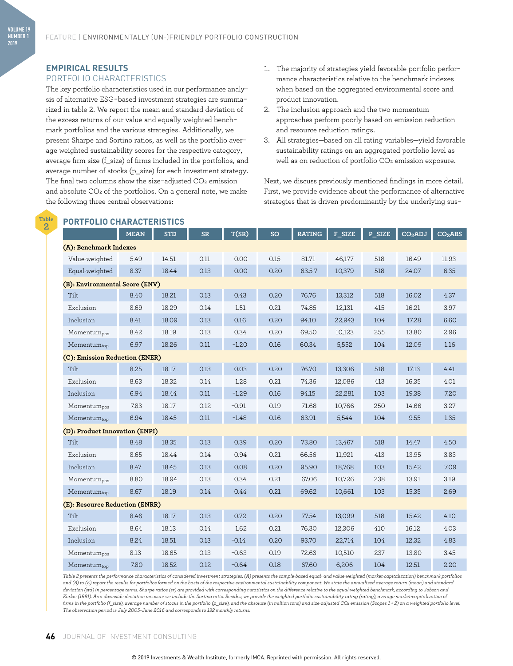### **EMPIRICAL RESULTS**

**VOLUME 19 NUMBER 1 2019**

> **Table 2**

#### PORTFOLIO CHARACTERISTICS

The key portfolio characteristics used in our performance analysis of alternative ESG-based investment strategies are summarized in table 2. We report the mean and standard deviation of the excess returns of our value and equally weighted benchmark portfolios and the various strategies. Additionally, we present Sharpe and Sortino ratios, as well as the portfolio average weighted sustainability scores for the respective category, average firm size (f\_size) of firms included in the portfolios, and average number of stocks (p\_size) for each investment strategy. The final two columns show the size-adjusted  $CO<sub>2</sub>$  emission and absolute CO<sub>2</sub> of the portfolios. On a general note, we make the following three central observations:

**PORTFOLIO CHARACTERISTICS**

- 1. The majority of strategies yield favorable portfolio performance characteristics relative to the benchmark indexes when based on the aggregated environmental score and product innovation.
- 2. The inclusion approach and the two momentum approaches perform poorly based on emission reduction and resource reduction ratings.
- 3. All strategies—based on all rating variables—yield favorable sustainability ratings on an aggregated portfolio level as well as on reduction of portfolio CO<sub>2</sub> emission exposure.

Next, we discuss previously mentioned findings in more detail. First, we provide evidence about the performance of alternative strategies that is driven predominantly by the underlying sus-

| <b>PORTFOLIO CHARACTERISTICS</b> |             |            |           |         |      |               |        |        |                     |                     |  |
|----------------------------------|-------------|------------|-----------|---------|------|---------------|--------|--------|---------------------|---------------------|--|
|                                  | <b>MEAN</b> | <b>STD</b> | <b>SR</b> | T(SR)   | SO   | <b>RATING</b> | F_SIZE | P_SIZE | CO <sub>2</sub> ADJ | CO <sub>2</sub> ABS |  |
| (A): Benchmark Indexes           |             |            |           |         |      |               |        |        |                     |                     |  |
| Value-weighted                   | 5.49        | 14.51      | 0.11      | 0.00    | 0.15 | 81.71         | 46,177 | 518    | 16.49               | 11.93               |  |
| Equal-weighted                   | 8.37        | 18.44      | 0.13      | 0.00    | 0.20 | 63.57         | 10,379 | 518    | 24.07               | 6.35                |  |
| (B): Environmental Score (ENV)   |             |            |           |         |      |               |        |        |                     |                     |  |
| Tilt                             | 8.40        | 18.21      | 0.13      | 0.43    | 0.20 | 76.76         | 13,312 | 518    | 16.02               | 4.37                |  |
| Exclusion                        | 8.69        | 18.29      | 0.14      | 1.51    | 0.21 | 74.85         | 12,131 | 415    | 16.21               | 3.97                |  |
| Inclusion                        | 8.41        | 18.09      | 0.13      | 0.16    | 0.20 | 94.10         | 22,943 | 104    | 17.28               | 6.60                |  |
| Momentum <sub>pos</sub>          | 8.42        | 18.19      | 0.13      | 0.34    | 0.20 | 69.50         | 10,123 | 255    | 13.80               | 2.96                |  |
| Momentumtop                      | 6.97        | 18.26      | 0.11      | $-1.20$ | 0.16 | 60.34         | 5,552  | 104    | 12.09               | 1.16                |  |
| (C): Emission Reduction (ENER)   |             |            |           |         |      |               |        |        |                     |                     |  |
| Tilt                             | 8.25        | 18.17      | 0.13      | 0.03    | 0.20 | 76.70         | 13,306 | 518    | 17.13               | 4.41                |  |
| Exclusion                        | 8.63        | 18.32      | 0.14      | 1.28    | 0.21 | 74.36         | 12,086 | 413    | 16.35               | 4.01                |  |
| Inclusion                        | 6.94        | 18.44      | 0.11      | $-1.29$ | 0.16 | 94.15         | 22,281 | 103    | 19.38               | 7.20                |  |
| Momentum <sub>pos</sub>          | 7.83        | 18.17      | 0.12      | $-0.91$ | 0.19 | 71.68         | 10,766 | 250    | 14.66               | 3.27                |  |
| Momentumtop                      | 6.94        | 18.45      | 0.11      | $-1.48$ | 0.16 | 63.91         | 5,544  | 104    | 9.55                | 1.35                |  |
| (D): Product Innovation (ENPI)   |             |            |           |         |      |               |        |        |                     |                     |  |
| Tilt                             | 8.48        | 18.35      | 0.13      | 0.39    | 0.20 | 73.80         | 13,467 | 518    | 14.47               | 4.50                |  |
| Exclusion                        | 8.65        | 18.44      | 0.14      | 0.94    | 0.21 | 66.56         | 11,921 | 413    | 13.95               | 3.83                |  |
| Inclusion                        | 8.47        | 18.45      | 0.13      | 0.08    | 0.20 | 95.90         | 18,768 | 103    | 15.42               | 7.09                |  |
| Momentum <sub>pos</sub>          | 8.80        | 18.94      | 0.13      | 0.34    | 0.21 | 67.06         | 10,726 | 238    | 13.91               | 3.19                |  |
| Momentumtop                      | 8.67        | 18.19      | 0.14      | 0.44    | 0.21 | 69.62         | 10,661 | 103    | 15.35               | 2.69                |  |
| (E): Resource Reduction (ENRR)   |             |            |           |         |      |               |        |        |                     |                     |  |
| Tilt                             | 8.46        | 18.17      | 0.13      | 0.72    | 0.20 | 77.54         | 13,099 | 518    | 15.42               | 4.10                |  |
| Exclusion                        | 8.64        | 18.13      | 0.14      | 1.62    | 0.21 | 76.30         | 12,306 | 410    | 16.12               | 4.03                |  |
| Inclusion                        | 8.24        | 18.51      | 0.13      | $-0.14$ | 0.20 | 93.70         | 22,714 | 104    | 12.32               | 4.83                |  |
| Momentumpos                      | 8.13        | 18.65      | 0.13      | $-0.63$ | 0.19 | 72.63         | 10,510 | 237    | 13.80               | 3.45                |  |
| Momentumtop                      | 7.80        | 18.52      | 0.12      | $-0.64$ | 0.18 | 67.60         | 6,206  | 104    | 12.51               | 2.20                |  |

*Table 2 presents the performance characteristics of considered investment strategies. (A) presents the sample-based equal- and value-weighted (market-capitalization) benchmark portfolios and (B) to (E) report the results for portfolios formed on the basis of the respective environmental sustainability component. We state the annualized average return (mean) and standard deviation (std) in percentage terms. Sharpe ratios (sr) are provided with corresponding t-statistics on the difference relative to the equal-weighted benchmark, according to Jobson and Korkie (1981). As a downside deviation measure we include the Sortino ratio. Besides, we provide the weighted portfolio sustainability rating (rating), average market-capitalization of firms in the portfolio (f\_size), average number of stocks in the portfolio (p\_size), and the absolute (in million tons) and size-adjusted CO2 emission (Scopes 1 + 2) on a weighted portfolio level. The observation period is July 2005–June 2016 and corresponds to 132 monthly returns.*

#### **46** JOURNAL OF INVESTMENT CONSULTING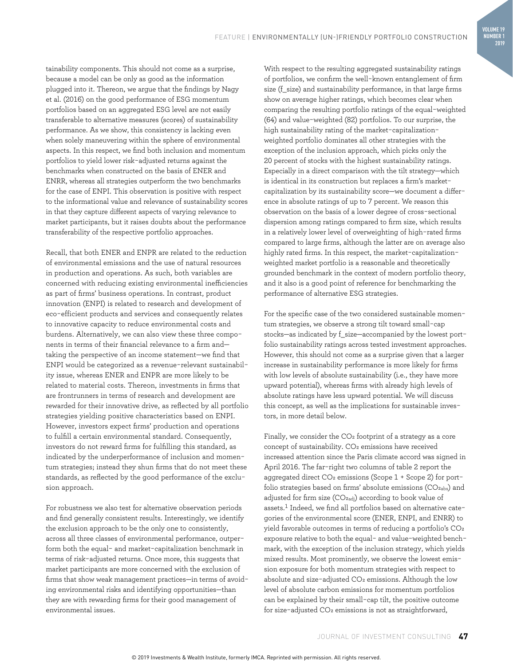**VOLUME 19 NUMBER 1 2019**

tainability components. This should not come as a surprise, because a model can be only as good as the information plugged into it. Thereon, we argue that the findings by Nagy et al. (2016) on the good performance of ESG momentum portfolios based on an aggregated ESG level are not easily transferable to alternative measures (scores) of sustainability performance. As we show, this consistency is lacking even when solely maneuvering within the sphere of environmental aspects. In this respect, we find both inclusion and momentum portfolios to yield lower risk-adjusted returns against the benchmarks when constructed on the basis of ENER and ENRR, whereas all strategies outperform the two benchmarks for the case of ENPI. This observation is positive with respect to the informational value and relevance of sustainability scores in that they capture different aspects of varying relevance to market participants, but it raises doubts about the performance transferability of the respective portfolio approaches.

Recall, that both ENER and ENPR are related to the reduction of environmental emissions and the use of natural resources in production and operations. As such, both variables are concerned with reducing existing environmental inefficiencies as part of firms' business operations. In contrast, product innovation (ENPI) is related to research and development of eco-efficient products and services and consequently relates to innovative capacity to reduce environmental costs and burdens. Alternatively, we can also view these three components in terms of their financial relevance to a firm and taking the perspective of an income statement—we find that ENPI would be categorized as a revenue-relevant sustainability issue, whereas ENER and ENPR are more likely to be related to material costs. Thereon, investments in firms that are frontrunners in terms of research and development are rewarded for their innovative drive, as reflected by all portfolio strategies yielding positive characteristics based on ENPI. However, investors expect firms' production and operations to fulfill a certain environmental standard. Consequently, investors do not reward firms for fulfilling this standard, as indicated by the underperformance of inclusion and momentum strategies; instead they shun firms that do not meet these standards, as reflected by the good performance of the exclusion approach.

For robustness we also test for alternative observation periods and find generally consistent results. Interestingly, we identify the exclusion approach to be the only one to consistently, across all three classes of environmental performance, outperform both the equal- and market-capitalization benchmark in terms of risk-adjusted returns. Once more, this suggests that market participants are more concerned with the exclusion of firms that show weak management practices—in terms of avoiding environmental risks and identifying opportunities—than they are with rewarding firms for their good management of environmental issues.

With respect to the resulting aggregated sustainability ratings of portfolios, we confirm the well-known entanglement of firm size (f\_size) and sustainability performance, in that large firms show on average higher ratings, which becomes clear when comparing the resulting portfolio ratings of the equal-weighted (64) and value-weighted (82) portfolios. To our surprise, the high sustainability rating of the market-capitalizationweighted portfolio dominates all other strategies with the exception of the inclusion approach, which picks only the 20 percent of stocks with the highest sustainability ratings. Especially in a direct comparison with the tilt strategy—which is identical in its construction but replaces a firm's marketcapitalization by its sustainability score—we document a difference in absolute ratings of up to 7 percent. We reason this observation on the basis of a lower degree of cross-sectional dispersion among ratings compared to firm size, which results in a relatively lower level of overweighting of high-rated firms compared to large firms, although the latter are on average also highly rated firms. In this respect, the market-capitalizationweighted market portfolio is a reasonable and theoretically grounded benchmark in the context of modern portfolio theory, and it also is a good point of reference for benchmarking the performance of alternative ESG strategies.

For the specific case of the two considered sustainable momentum strategies, we observe a strong tilt toward small-cap stocks—as indicated by f\_size—accompanied by the lowest portfolio sustainability ratings across tested investment approaches. However, this should not come as a surprise given that a larger increase in sustainability performance is more likely for firms with low levels of absolute sustainability (i.e., they have more upward potential), whereas firms with already high levels of absolute ratings have less upward potential. We will discuss this concept, as well as the implications for sustainable investors, in more detail below.

Finally, we consider the  $CO<sub>2</sub>$  footprint of a strategy as a core concept of sustainability. CO<sub>2</sub> emissions have received increased attention since the Paris climate accord was signed in April 2016. The far-right two columns of table 2 report the aggregated direct CO<sub>2</sub> emissions (Scope 1 + Scope 2) for portfolio strategies based on firms' absolute emissions  $(CO_{2abs})$  and adjusted for firm size (CO<sub>2adj</sub>) according to book value of assets.<sup>1</sup> Indeed, we find all portfolios based on alternative categories of the environmental score (ENER, ENPI, and ENRR) to yield favorable outcomes in terms of reducing a portfolio's CO2 exposure relative to both the equal- and value-weighted benchmark, with the exception of the inclusion strategy, which yields mixed results. Most prominently, we observe the lowest emission exposure for both momentum strategies with respect to absolute and size-adjusted CO<sub>2</sub> emissions. Although the low level of absolute carbon emissions for momentum portfolios can be explained by their small-cap tilt, the positive outcome for size-adjusted CO2 emissions is not as straightforward,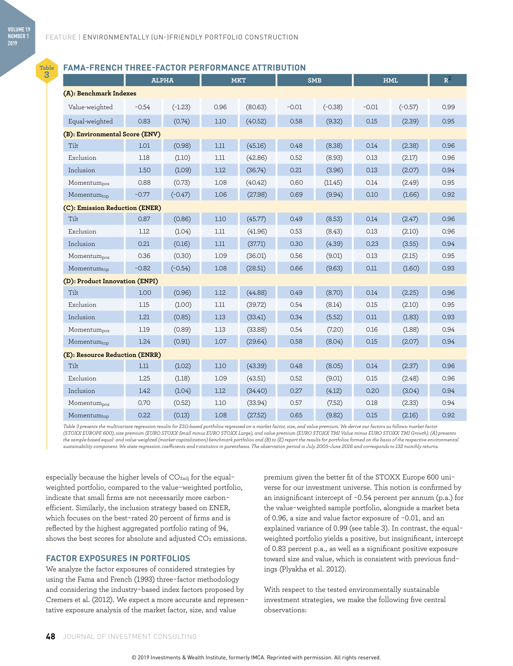**Table 3**

#### **FAMA-FRENCH THREE-FACTOR PERFORMANCE ATTRIBUTION**

|                                |         | <b>ALPHA</b> | <b>MKT</b> |         | <b>SMB</b> |           | <b>HML</b> |           | ${\bf R}^2$ |  |  |
|--------------------------------|---------|--------------|------------|---------|------------|-----------|------------|-----------|-------------|--|--|
| (A): Benchmark Indexes         |         |              |            |         |            |           |            |           |             |  |  |
| Value-weighted                 | $-0.54$ | $(-1.23)$    | 0.96       | (80.63) | $-0.01$    | $(-0.38)$ | $-0.01$    | $(-0.57)$ | 0.99        |  |  |
| Equal-weighted                 | 0.83    | (0.74)       | 1.10       | (40.52) | 0.58       | (9.32)    | 0.15       | (2.39)    | 0.95        |  |  |
| (B): Environmental Score (ENV) |         |              |            |         |            |           |            |           |             |  |  |
| Tilt                           | 1.01    | (0.98)       | 1.11       | (45.16) | 0.48       | (8.38)    | 0.14       | (2.38)    | 0.96        |  |  |
| Exclusion                      | 1.18    | (1.10)       | 1.11       | (42.86) | 0.52       | (8.93)    | 0.13       | (2.17)    | 0.96        |  |  |
| Inclusion                      | 1.50    | (1.09)       | 1.12       | (36.74) | 0.21       | (3.96)    | 0.13       | (2.07)    | 0.94        |  |  |
| Momentum <sub>pos</sub>        | 0.88    | (0.73)       | 1.08       | (40.42) | 0.60       | (11.45)   | 0.14       | (2.49)    | 0.95        |  |  |
| Momentumtop                    | $-0.77$ | $(-0.47)$    | 1.06       | (27.98) | 0.69       | (9.94)    | 0.10       | (1.66)    | 0.92        |  |  |
| (C): Emission Reduction (ENER) |         |              |            |         |            |           |            |           |             |  |  |
| Tilt                           | 0.87    | (0.86)       | 1.10       | (45.77) | 0.49       | (8.53)    | 0.14       | (2.47)    | 0.96        |  |  |
| Exclusion                      | 1.12    | (1.04)       | 1.11       | (41.96) | 0.53       | (8.43)    | 0.13       | (2.10)    | 0.96        |  |  |
| Inclusion                      | 0.21    | (0.16)       | 1.11       | (37.71) | 0.30       | (4.39)    | 0.23       | (3.55)    | 0.94        |  |  |
| Momentum <sub>pos</sub>        | 0.36    | (0.30)       | 1.09       | (36.01) | 0.56       | (9.01)    | 0.13       | (2.15)    | 0.95        |  |  |
| Momentumtop                    | $-0.82$ | $(-0.54)$    | 1.08       | (28.51) | 0.66       | (9.63)    | 0.11       | (1.60)    | 0.93        |  |  |
| (D): Product Innovation (ENPI) |         |              |            |         |            |           |            |           |             |  |  |
| Tilt                           | 1.00    | (0.96)       | 1.12       | (44.88) | 0.49       | (8.70)    | 0.14       | (2.25)    | 0.96        |  |  |
| Exclusion                      | 1.15    | (1.00)       | 1.11       | (39.72) | 0.54       | (8.14)    | 0.15       | (2.10)    | 0.95        |  |  |
| Inclusion                      | 1.21    | (0.85)       | 1.13       | (33.41) | 0.34       | (5.52)    | 0.11       | (1.83)    | 0.93        |  |  |
| Momentum <sub>pos</sub>        | 1.19    | (0.89)       | 1.13       | (33.88) | 0.54       | (7.20)    | 0.16       | (1.88)    | 0.94        |  |  |
| Momentumtop                    | 1.24    | (0.91)       | 1.07       | (29.64) | 0.58       | (8.04)    | 0.15       | (2.07)    | 0.94        |  |  |
| (E): Resource Reduction (ENRR) |         |              |            |         |            |           |            |           |             |  |  |
| Tilt                           | 1.11    | (1.02)       | 1.10       | (43.39) | 0.48       | (8.05)    | 0.14       | (2.37)    | 0.96        |  |  |
| Exclusion                      | 1.25    | (1.18)       | 1.09       | (43.51) | 0.52       | (9.01)    | 0.15       | (2.48)    | 0.96        |  |  |
| Inclusion                      | 1.42    | (1.04)       | 1.12       | (34.40) | 0.27       | (4.12)    | 0.20       | (3.04)    | 0.94        |  |  |
| Momentumpos                    | 0.70    | (0.52)       | 1.10       | (33.94) | 0.57       | (7.52)    | 0.18       | (2.33)    | 0.94        |  |  |
| Momentumtop                    | 0.22    | (0.13)       | 1.08       | (27.52) | 0.65       | (9.82)    | 0.15       | (2.16)    | 0.92        |  |  |

*Table 3 presents the multivariate regression results for ESG-based portfolios regressed on a market factor, size, and value premium. We derive our factors as follows: market factor (STOXX EUROPE 600), size premium (EURO STOXX Small minus EURO STOXX Large), and value premium (EURO STOXX TMI Value minus EURO STOXX TMI Growth). (A) presents the sample-based equal- and value-weighted (market-capitalization) benchmark portfolios and (B) to (E) report the results for portfolios formed on the basis of the respective environmental sustainability component. We state regression coefficients and t-statistics in parenthesis. The observation period is July 2005–June 2016 and corresponds to 132 monthly returns.*

especially because the higher levels of CO<sub>2adj</sub> for the equalweighted portfolio, compared to the value-weighted portfolio, indicate that small firms are not necessarily more carbonefficient. Similarly, the inclusion strategy based on ENER, which focuses on the best-rated 20 percent of firms and is reflected by the highest aggregated portfolio rating of 94, shows the best scores for absolute and adjusted CO<sub>2</sub> emissions.

#### **FACTOR EXPOSURES IN PORTFOLIOS**

We analyze the factor exposures of considered strategies by using the Fama and French (1993) three-factor methodology and considering the industry-based index factors proposed by Cremers et al. (2012). We expect a more accurate and representative exposure analysis of the market factor, size, and value

premium given the better fit of the STOXX Europe 600 universe for our investment universe. This notion is confirmed by an insignificant intercept of −0.54 percent per annum (p.a.) for the value-weighted sample portfolio, alongside a market beta of 0.96, a size and value factor exposure of −0.01, and an explained variance of 0.99 (see table 3). In contrast, the equalweighted portfolio yields a positive, but insignificant, intercept of 0.83 percent p.a., as well as a significant positive exposure toward size and value, which is consistent with previous findings (Plyakha et al. 2012).

With respect to the tested environmentally sustainable investment strategies, we make the following five central observations: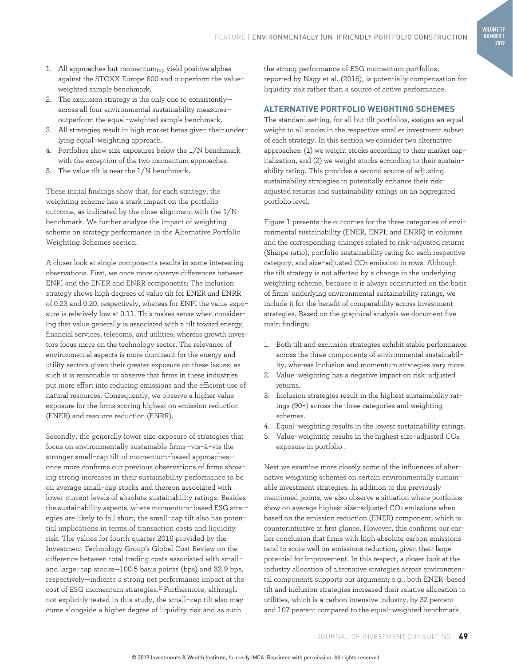- 1. All approaches but momentum $_{top}$  yield positive alphas against the STOXX Europe 600 and outperform the valueweighted sample benchmark.
- 2. The exclusion strategy is the only one to consistently across all four environmental sustainability measures outperform the equal-weighted sample benchmark.
- 3. All strategies result in high market betas given their underlying equal-weighting approach.
- 4. Portfolios show size exposures below the 1/N benchmark with the exception of the two momentum approaches.
- 5. The value tilt is near the 1/N benchmark.

These initial findings show that, for each strategy, the weighting scheme has a stark impact on the portfolio outcome, as indicated by the close alignment with the 1/N benchmark. We further analyze the impact of weighting scheme on strategy performance in the Alternative Portfolio Weighting Schemes section.

A closer look at single components results in some interesting observations. First, we once more observe differences between ENPI and the ENER and ENRR components: The inclusion strategy shows high degrees of value tilt for ENER and ENRR of 0.23 and 0.20, respectively, whereas for ENPI the value exposure is relatively low at 0.11. This makes sense when considering that value generally is associated with a tilt toward energy, financial services, telecoms, and utilities; whereas growth investors focus more on the technology sector. The relevance of environmental aspects is more dominant for the energy and utility sectors given their greater exposure on these issues; as such it is reasonable to observe that firms in these industries put more effort into reducing emissions and the efficient use of natural resources. Consequently, we observe a higher value exposure for the firms scoring highest on emission reduction (ENER) and resource reduction (ENRR).

Secondly, the generally lower size exposure of strategies that focus on environmentally sustainable firms—vis-à-vis the stronger small-cap tilt of momentum-based approaches once more confirms our previous observations of firms showing strong increases in their sustainability performance to be on average small-cap stocks and thereon associated with lower current levels of absolute sustainability ratings. Besides the sustainability aspects, where momentum-based ESG strategies are likely to fall short, the small-cap tilt also has potential implications in terms of transaction costs and liquidity risk. The values for fourth quarter 2016 provided by the Investment Technology Group's Global Cost Review on the difference between total trading costs associated with smalland large-cap stocks—100.5 basis points (bps) and 32.9 bps, respectively—indicate a strong net performance impact at the cost of ESG momentum strategies.2 Furthermore, although not explicitly tested in this study, the small-cap tilt also may come alongside a higher degree of liquidity risk and as such

the strong performance of ESG momentum portfolios, reported by Nagy et al. (2016), is potentially compensation for liquidity risk rather than a source of active performance.

#### **ALTERNATIVE PORTFOLIO WEIGHTING SCHEMES**

The standard setting, for all but tilt portfolios, assigns an equal weight to all stocks in the respective smaller investment subset of each strategy. In this section we consider two alternative approaches: (1) we weight stocks according to their market capitalization, and (2) we weight stocks according to their sustainability rating. This provides a second source of adjusting sustainability strategies to potentially enhance their riskadjusted returns and sustainability ratings on an aggregated portfolio level.

Figure 1 presents the outcomes for the three categories of environmental sustainability (ENER, ENPI, and ENRR) in columns and the corresponding changes related to risk-adjusted returns (Sharpe ratio), portfolio sustainability rating for each respective category, and size-adjusted CO2 emission in rows. Although the tilt strategy is not affected by a change in the underlying weighting scheme, because it is always constructed on the basis of firms' underlying environmental sustainability ratings, we include it for the benefit of comparability across investment strategies. Based on the graphical analysis we document five main findings:

- 1. Both tilt and exclusion strategies exhibit stable performance across the three components of environmental sustainability, whereas inclusion and momentum strategies vary more.
- 2. Value-weighting has a negative impact on risk-adjusted returns.
- 3. Inclusion strategies result in the highest sustainability ratings (90+) across the three categories and weighting schemes.
- 4. Equal-weighting results in the lowest sustainability ratings.
- 5. Value-weighting results in the highest size-adjusted CO2 exposure in portfolio .

Next we examine more closely some of the influences of alternative weighting schemes on certain environmentally sustainable investment strategies. In addition to the previously mentioned points, we also observe a situation where portfolios show on average highest size-adjusted CO<sub>2</sub> emissions when based on the emission reduction (ENER) component, which is counterintuitive at first glance. However, this confirms our earlier conclusion that firms with high absolute carbon emissions tend to score well on emissions reduction, given their large potential for improvement. In this respect, a closer look at the industry allocation of alternative strategies across environmental components supports our argument; e.g., both ENER-based tilt and inclusion strategies increased their relative allocation to utilities, which is a carbon intensive industry, by 32 percent and 107 percent compared to the equal-weighted benchmark,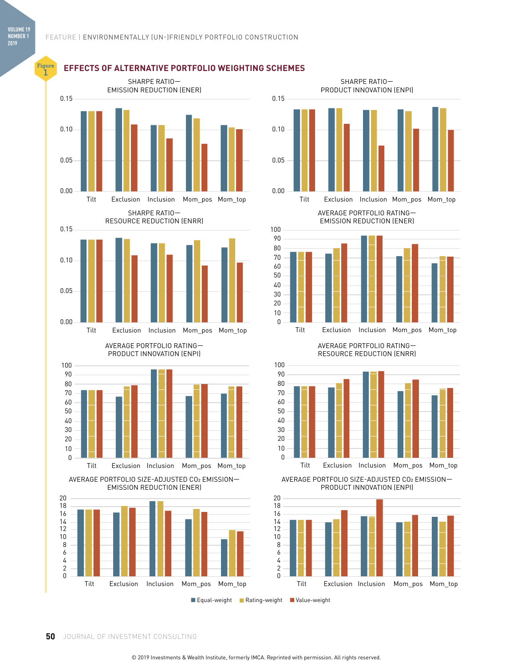**Figure**



### **I<sup>nte</sup> EFFECTS OF ALTERNATIVE PORTFOLIO WEIGHTING SCHEMES**



AVERAGE PORTFOLIO RATING— EMISSION REDUCTION (ENER)



#### AVERAGE PORTFOLIO RATING— RESOURCE REDUCTION (ENRR)



AVERAGE PORTFOLIO SIZE-ADJUSTED CO2 EMISSION— PRODUCT INNOVATION (ENPI)



■ Equal-weight ■ Rating-weight ■ Value-weight

**50** JOURNAL OF INVESTMENT CONSULTING

Tilt Exclusion Inclusion Mom\_pos Mom\_top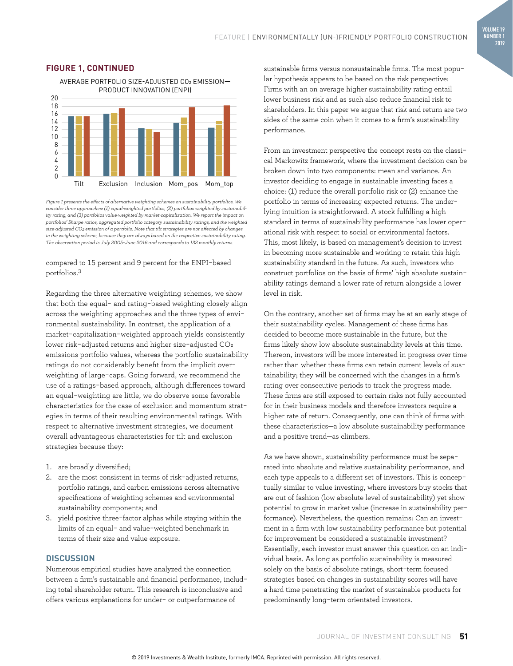

#### FIGURE 1, CONTINUED

*Figure 1 presents the effects of alternative weighting schemes on sustainability portfolios. We consider three approaches: (1) equal-weighted portfolios, (2) portfolios weighted by sustainability rating, and (3) portfolios value-weighted by market-capitalization. We report the impact on portfolios' Sharpe ratios, aggregated portfolio category sustainability ratings, and the weighted size-adjusted CO2 emission of a portfolio. Note that tilt strategies are not affected by changes in the weighting scheme, because they are always based on the respective sustainability rating. The observation period is July 2005–June 2016 and corresponds to 132 monthly returns.*

#### compared to 15 percent and 9 percent for the ENPI-based portfolios.3

Regarding the three alternative weighting schemes, we show that both the equal- and rating-based weighting closely align across the weighting approaches and the three types of environmental sustainability. In contrast, the application of a market-capitalization-weighted approach yields consistently lower risk-adjusted returns and higher size-adjusted CO2 emissions portfolio values, whereas the portfolio sustainability ratings do not considerably benefit from the implicit overweighting of large-caps. Going forward, we recommend the use of a ratings-based approach, although differences toward an equal-weighting are little, we do observe some favorable characteristics for the case of exclusion and momentum strategies in terms of their resulting environmental ratings. With respect to alternative investment strategies, we document overall advantageous characteristics for tilt and exclusion strategies because they:

- 1. are broadly diversified;
- 2. are the most consistent in terms of risk-adjusted returns, portfolio ratings, and carbon emissions across alternative specifications of weighting schemes and environmental sustainability components; and
- 3. yield positive three-factor alphas while staying within the limits of an equal- and value-weighted benchmark in terms of their size and value exposure.

#### **DISCUSSION**

Numerous empirical studies have analyzed the connection between a firm's sustainable and financial performance, including total shareholder return. This research is inconclusive and offers various explanations for under- or outperformance of

sustainable firms versus nonsustainable firms. The most popular hypothesis appears to be based on the risk perspective: Firms with an on average higher sustainability rating entail lower business risk and as such also reduce financial risk to shareholders. In this paper we argue that risk and return are two sides of the same coin when it comes to a firm's sustainability performance.

From an investment perspective the concept rests on the classical Markowitz framework, where the investment decision can be broken down into two components: mean and variance. An investor deciding to engage in sustainable investing faces a choice: (1) reduce the overall portfolio risk or (2) enhance the portfolio in terms of increasing expected returns. The underlying intuition is straightforward. A stock fulfilling a high standard in terms of sustainability performance has lower operational risk with respect to social or environmental factors. This, most likely, is based on management's decision to invest in becoming more sustainable and working to retain this high sustainability standard in the future. As such, investors who construct portfolios on the basis of firms' high absolute sustainability ratings demand a lower rate of return alongside a lower level in risk.

On the contrary, another set of firms may be at an early stage of their sustainability cycles. Management of these firms has decided to become more sustainable in the future, but the firms likely show low absolute sustainability levels at this time. Thereon, investors will be more interested in progress over time rather than whether these firms can retain current levels of sustainability; they will be concerned with the changes in a firm's rating over consecutive periods to track the progress made. These firms are still exposed to certain risks not fully accounted for in their business models and therefore investors require a higher rate of return. Consequently, one can think of firms with these characteristics—a low absolute sustainability performance and a positive trend—as climbers.

As we have shown, sustainability performance must be separated into absolute and relative sustainability performance, and each type appeals to a different set of investors. This is conceptually similar to value investing, where investors buy stocks that are out of fashion (low absolute level of sustainability) yet show potential to grow in market value (increase in sustainability performance). Nevertheless, the question remains: Can an investment in a firm with low sustainability performance but potential for improvement be considered a sustainable investment? Essentially, each investor must answer this question on an individual basis. As long as portfolio sustainability is measured solely on the basis of absolute ratings, short-term focused strategies based on changes in sustainability scores will have a hard time penetrating the market of sustainable products for predominantly long-term orientated investors.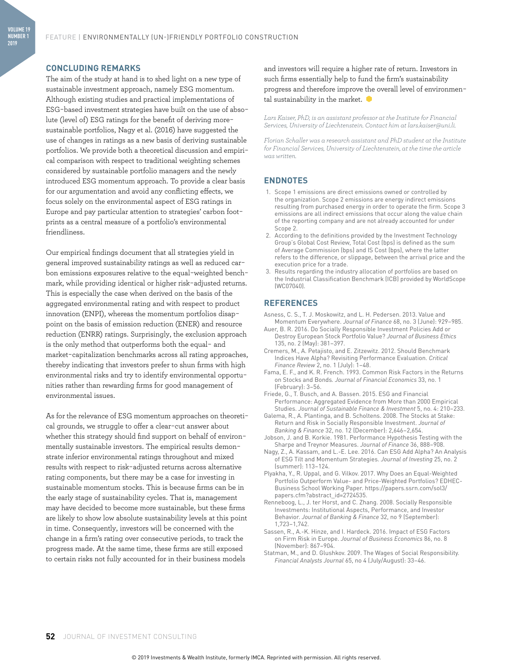#### **CONCLUDING REMARKS**

The aim of the study at hand is to shed light on a new type of sustainable investment approach, namely ESG momentum. Although existing studies and practical implementations of ESG-based investment strategies have built on the use of absolute (level of) ESG ratings for the benefit of deriving moresustainable portfolios, Nagy et al. (2016) have suggested the use of changes in ratings as a new basis of deriving sustainable portfolios. We provide both a theoretical discussion and empirical comparison with respect to traditional weighting schemes considered by sustainable portfolio managers and the newly introduced ESG momentum approach. To provide a clear basis for our argumentation and avoid any conflicting effects, we focus solely on the environmental aspect of ESG ratings in Europe and pay particular attention to strategies' carbon footprints as a central measure of a portfolio's environmental friendliness.

Our empirical findings document that all strategies yield in general improved sustainability ratings as well as reduced carbon emissions exposures relative to the equal-weighted benchmark, while providing identical or higher risk-adjusted returns. This is especially the case when derived on the basis of the aggregated environmental rating and with respect to product innovation (ENPI), whereas the momentum portfolios disappoint on the basis of emission reduction (ENER) and resource reduction (ENRR) ratings. Surprisingly, the exclusion approach is the only method that outperforms both the equal- and market-capitalization benchmarks across all rating approaches, thereby indicating that investors prefer to shun firms with high environmental risks and try to identify environmental opportunities rather than rewarding firms for good management of environmental issues.

As for the relevance of ESG momentum approaches on theoretical grounds, we struggle to offer a clear-cut answer about whether this strategy should find support on behalf of environmentally sustainable investors. The empirical results demonstrate inferior environmental ratings throughout and mixed results with respect to risk-adjusted returns across alternative rating components, but there may be a case for investing in sustainable momentum stocks. This is because firms can be in the early stage of sustainability cycles. That is, management may have decided to become more sustainable, but these firms are likely to show low absolute sustainability levels at this point in time. Consequently, investors will be concerned with the change in a firm's rating over consecutive periods, to track the progress made. At the same time, these firms are still exposed to certain risks not fully accounted for in their business models

and investors will require a higher rate of return. Investors in such firms essentially help to fund the firm's sustainability progress and therefore improve the overall level of environmental sustainability in the market.

*Lars Kaiser, PhD, is an assistant professor at the Institute for Financial Services, University of Liechtenstein. Contact him at lars.kaiser@uni.li.*

*Florian Schaller was a research assistant and PhD student at the Institute for Financial Services, University of Liechtenstein, at the time the article was written.* 

#### **ENDNOTES**

- 1. Scope 1 emissions are direct emissions owned or controlled by the organization. Scope 2 emissions are energy indirect emissions resulting from purchased energy in order to operate the firm. Scope 3 emissions are all indirect emissions that occur along the value chain of the reporting company and are not already accounted for under Scope 2.
- 2. According to the definitions provided by the Investment Technology Group's Global Cost Review, Total Cost (bps) is defined as the sum of Average Commission (bps) and IS Cost (bps), where the latter refers to the difference, or slippage, between the arrival price and the execution price for a trade.
- 3. Results regarding the industry allocation of portfolios are based on the Industrial Classification Benchmark (ICB) provided by WorldScope (WC07040).

#### **REFERENCES**

Asness, C. S., T. J. Moskowitz, and L. H. Pedersen. 2013. Value and Momentum Everywhere. *Journal of Finance* 68, no. 3 (June): 929–985.

- Auer, B. R. 2016. Do Socially Responsible Investment Policies Add or Destroy European Stock Portfolio Value? *Journal of Business Ethics* 135, no. 2 (May): 381–397.
- Cremers, M., A. Petajisto, and E. Zitzewitz. 2012. Should Benchmark Indices Have Alpha? Revisiting Performance Evaluation. *Critical Finance Review* 2, no. 1 (July): 1–48.
- Fama, E. F., and K. R. French. 1993. Common Risk Factors in the Returns on Stocks and Bonds*. Journal of Financial Economics* 33, no. 1 (February): 3–56.
- Friede, G., T. Busch, and A. Bassen. 2015. ESG and Financial Performance: Aggregated Evidence from More than 2000 Empirical Studies. *Journal of Sustainable Finance & Investment* 5, no. 4: 210–233.
- Galema, R., A. Plantinga, and B. Scholtens. 2008. The Stocks at Stake: Return and Risk in Socially Responsible Investment. *Journal of Banking & Finance* 32, no. 12 (December): 2,646–2,654.
- Jobson, J. and B. Korkie. 1981. Performance Hypothesis Testing with the Sharpe and Treynor Measures. *Journal of Finance* 36, 888–908.
- Nagy, Z., A. Kassam, and L.-E. Lee. 2016. Can ESG Add Alpha? An Analysis of ESG Tilt and Momentum Strategies. *Journal of Investing* 25, no. 2 (summer): 113–124.
- Plyakha, Y., R. Uppal, and G. Vilkov. 2017. Why Does an Equal-Weighted Portfolio Outperform Value- and Price-Weighted Portfolios? EDHEC-Business School Working Paper. https://papers.ssrn.com/sol3/ papers.cfm?abstract\_id=2724535.
- Renneboog, L., J. ter Horst, and C. Zhang. 2008. Socially Responsible Investments: Institutional Aspects, Performance, and Investor Behavior. *Journal of Banking & Finance* 32, no 9 (September): 1,723–1,742.
- Sassen, R., A.-K. Hinze, and I. Hardeck. 2016. Impact of ESG Factors on Firm Risk in Europe. *Journal of Business Economics* 86, no. 8 (November): 867–904.
- Statman, M., and D. Glushkov. 2009. The Wages of Social Responsibility. *Financial Analysts Journal* 65, no 4 (July/August): 33–46.